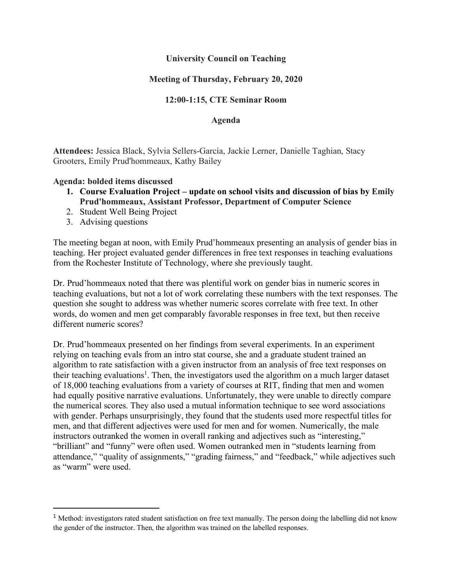### **University Council on Teaching**

# **Meeting of Thursday, February 20, 2020**

## **12:00-1:15, CTE Seminar Room**

#### **Agenda**

**Attendees:** Jessica Black, Sylvia Sellers-García, Jackie Lerner, Danielle Taghian, Stacy Grooters, Emily Prud'hommeaux, Kathy Bailey

#### **Agenda: bolded items discussed**

- **1. Course Evaluation Project – update on school visits and discussion of bias by Emily Prud'hommeaux, Assistant Professor, Department of Computer Science**
- 2. Student Well Being Project
- 3. Advising questions

The meeting began at noon, with Emily Prud'hommeaux presenting an analysis of gender bias in teaching. Her project evaluated gender differences in free text responses in teaching evaluations from the Rochester Institute of Technology, where she previously taught.

Dr. Prud'hommeaux noted that there was plentiful work on gender bias in numeric scores in teaching evaluations, but not a lot of work correlating these numbers with the text responses. The question she sought to address was whether numeric scores correlate with free text. In other words, do women and men get comparably favorable responses in free text, but then receive different numeric scores?

Dr. Prud'hommeaux presented on her findings from several experiments. In an experiment relying on teaching evals from an intro stat course, she and a graduate student trained an algorithm to rate satisfaction with a given instructor from an analysis of free text responses on their teaching evaluations<sup>1</sup>. Then, the investigators used the algorithm on a much larger dataset of 18,000 teaching evaluations from a variety of courses at RIT, finding that men and women had equally positive narrative evaluations. Unfortunately, they were unable to directly compare the numerical scores. They also used a mutual information technique to see word associations with gender. Perhaps unsurprisingly, they found that the students used more respectful titles for men, and that different adjectives were used for men and for women. Numerically, the male instructors outranked the women in overall ranking and adjectives such as "interesting," "brilliant" and "funny" were often used. Women outranked men in "students learning from attendance," "quality of assignments," "grading fairness," and "feedback," while adjectives such as "warm" were used.

<sup>&</sup>lt;sup>1</sup> Method: investigators rated student satisfaction on free text manually. The person doing the labelling did not know the gender of the instructor. Then, the algorithm was trained on the labelled responses.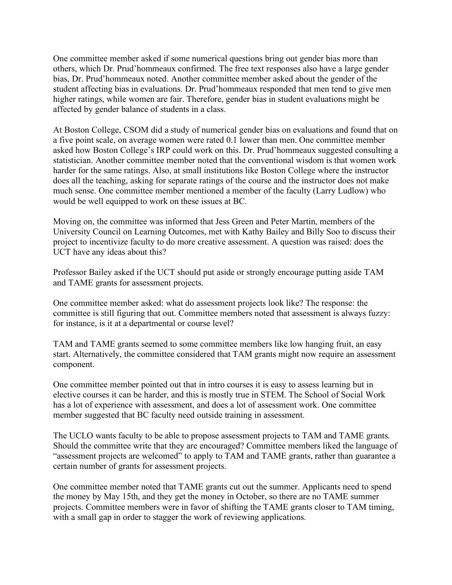One committee member asked if some numerical questions bring out gender bias more than others, which Dr. Prud'hommeaux confirmed. The free text responses also have a large gender bias, Dr. Prud'hommeaux noted. Another committee member asked about the gender of the student affecting bias in evaluations. Dr. Prud'hommeaux responded that men tend to give men higher ratings, while women are fair. Therefore, gender bias in student evaluations might be affected by gender balance of students in a class.

At Boston College, CSOM did a study of numerical gender bias on evaluations and found that on a five point scale, on average women were rated 0.1 lower than men. One committee member asked how Boston College's IRP could work on this. Dr. Prud'hommeaux suggested consulting a statistician. Another committee member noted that the conventional wisdom is that women work harder for the same ratings. Also, at small institutions like Boston College where the instructor does all the teaching, asking for separate ratings of the course and the instructor does not make much sense. One committee member mentioned a member of the faculty (Larry Ludlow) who would be well equipped to work on these issues at BC.

Moving on, the committee was informed that Jess Green and Peter Martin, members of the University Council on Learning Outcomes, met with Kathy Bailey and Billy Soo to discuss their project to incentivize faculty to do more creative assessment. A question was raised: does the UCT have any ideas about this?

Professor Bailey asked if the UCT should put aside or strongly encourage putting aside TAM and TAME grants for assessment projects.

One committee member asked: what do assessment projects look like? The response: the committee is still figuring that out. Committee members noted that assessment is always fuzzy: for instance, is it at a departmental or course level?

TAM and TAME grants seemed to some committee members like low hanging fruit, an easy start. Alternatively, the committee considered that TAM grants might now require an assessment component.

One committee member pointed out that in intro courses it is easy to assess learning but in elective courses it can be harder, and this is mostly true in STEM. The School of Social Work has a lot of experience with assessment, and does a lot of assessment work. One committee member suggested that BC faculty need outside training in assessment.

The UCLO wants faculty to be able to propose assessment projects to TAM and TAME grants. Should the committee write that they are encouraged? Committee members liked the language of "assessment projects are welcomed" to apply to TAM and TAME grants, rather than guarantee a certain number of grants for assessment projects.

One committee member noted that TAME grants cut out the summer. Applicants need to spend the money by May 15th, and they get the money in October, so there are no TAME summer projects. Committee members were in favor of shifting the TAME grants closer to TAM timing, with a small gap in order to stagger the work of reviewing applications.